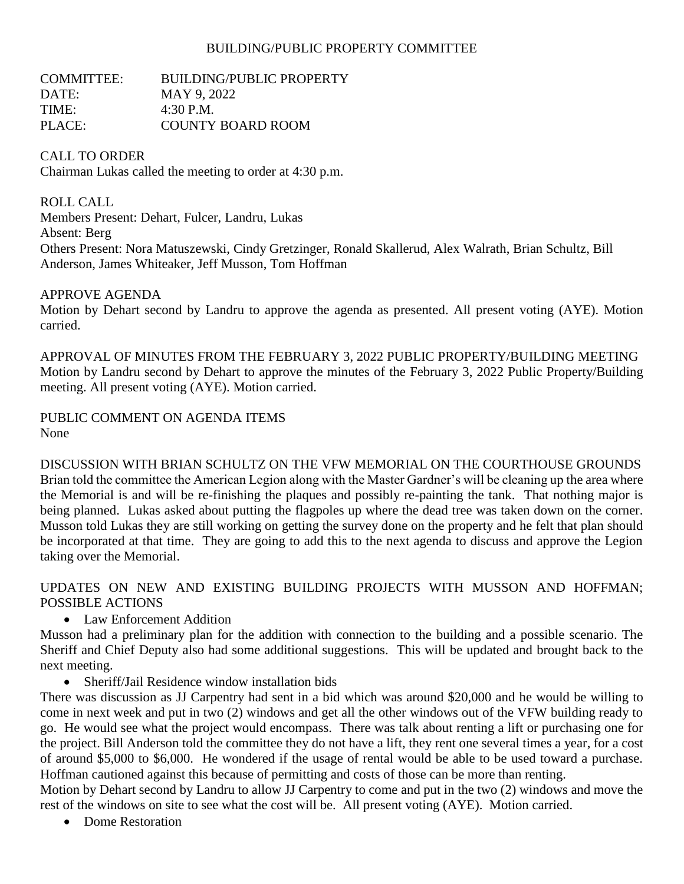### BUILDING/PUBLIC PROPERTY COMMITTEE

| <b>BUILDING/PUBLIC PROPERTY</b> |
|---------------------------------|
| MAY 9, 2022                     |
| 4:30 P.M.                       |
| <b>COUNTY BOARD ROOM</b>        |
|                                 |

### CALL TO ORDER

Chairman Lukas called the meeting to order at 4:30 p.m.

ROLL CALL

Members Present: Dehart, Fulcer, Landru, Lukas Absent: Berg Others Present: Nora Matuszewski, Cindy Gretzinger, Ronald Skallerud, Alex Walrath, Brian Schultz, Bill Anderson, James Whiteaker, Jeff Musson, Tom Hoffman

#### APPROVE AGENDA

Motion by Dehart second by Landru to approve the agenda as presented. All present voting (AYE). Motion carried.

APPROVAL OF MINUTES FROM THE FEBRUARY 3, 2022 PUBLIC PROPERTY/BUILDING MEETING Motion by Landru second by Dehart to approve the minutes of the February 3, 2022 Public Property/Building meeting. All present voting (AYE). Motion carried.

PUBLIC COMMENT ON AGENDA ITEMS None

DISCUSSION WITH BRIAN SCHULTZ ON THE VFW MEMORIAL ON THE COURTHOUSE GROUNDS Brian told the committee the American Legion along with the Master Gardner's will be cleaning up the area where the Memorial is and will be re-finishing the plaques and possibly re-painting the tank. That nothing major is being planned. Lukas asked about putting the flagpoles up where the dead tree was taken down on the corner. Musson told Lukas they are still working on getting the survey done on the property and he felt that plan should be incorporated at that time. They are going to add this to the next agenda to discuss and approve the Legion taking over the Memorial.

UPDATES ON NEW AND EXISTING BUILDING PROJECTS WITH MUSSON AND HOFFMAN; POSSIBLE ACTIONS

• Law Enforcement Addition

Musson had a preliminary plan for the addition with connection to the building and a possible scenario. The Sheriff and Chief Deputy also had some additional suggestions. This will be updated and brought back to the next meeting.

• Sheriff/Jail Residence window installation bids

There was discussion as JJ Carpentry had sent in a bid which was around \$20,000 and he would be willing to come in next week and put in two (2) windows and get all the other windows out of the VFW building ready to go. He would see what the project would encompass. There was talk about renting a lift or purchasing one for the project. Bill Anderson told the committee they do not have a lift, they rent one several times a year, for a cost of around \$5,000 to \$6,000. He wondered if the usage of rental would be able to be used toward a purchase. Hoffman cautioned against this because of permitting and costs of those can be more than renting.

Motion by Dehart second by Landru to allow JJ Carpentry to come and put in the two (2) windows and move the rest of the windows on site to see what the cost will be. All present voting (AYE). Motion carried.

• Dome Restoration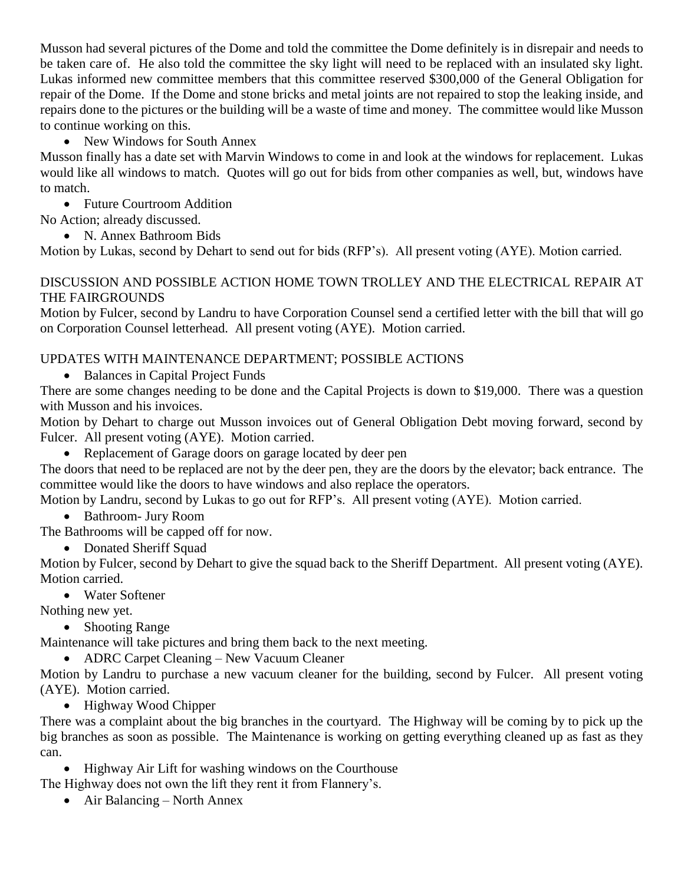Musson had several pictures of the Dome and told the committee the Dome definitely is in disrepair and needs to be taken care of. He also told the committee the sky light will need to be replaced with an insulated sky light. Lukas informed new committee members that this committee reserved \$300,000 of the General Obligation for repair of the Dome. If the Dome and stone bricks and metal joints are not repaired to stop the leaking inside, and repairs done to the pictures or the building will be a waste of time and money. The committee would like Musson to continue working on this.

• New Windows for South Annex

Musson finally has a date set with Marvin Windows to come in and look at the windows for replacement. Lukas would like all windows to match. Quotes will go out for bids from other companies as well, but, windows have to match.

• Future Courtroom Addition

No Action; already discussed.

• N. Annex Bathroom Bids

Motion by Lukas, second by Dehart to send out for bids (RFP's). All present voting (AYE). Motion carried.

### DISCUSSION AND POSSIBLE ACTION HOME TOWN TROLLEY AND THE ELECTRICAL REPAIR AT THE FAIRGROUNDS

Motion by Fulcer, second by Landru to have Corporation Counsel send a certified letter with the bill that will go on Corporation Counsel letterhead. All present voting (AYE). Motion carried.

## UPDATES WITH MAINTENANCE DEPARTMENT; POSSIBLE ACTIONS

• Balances in Capital Project Funds

There are some changes needing to be done and the Capital Projects is down to \$19,000. There was a question with Musson and his invoices.

Motion by Dehart to charge out Musson invoices out of General Obligation Debt moving forward, second by Fulcer. All present voting (AYE). Motion carried.

• Replacement of Garage doors on garage located by deer pen

The doors that need to be replaced are not by the deer pen, they are the doors by the elevator; back entrance. The committee would like the doors to have windows and also replace the operators.

Motion by Landru, second by Lukas to go out for RFP's. All present voting (AYE). Motion carried.

- Bathroom- Jury Room
- The Bathrooms will be capped off for now.

• Donated Sheriff Squad

Motion by Fulcer, second by Dehart to give the squad back to the Sheriff Department. All present voting (AYE). Motion carried.

• Water Softener

Nothing new yet.

• Shooting Range

Maintenance will take pictures and bring them back to the next meeting.

• ADRC Carpet Cleaning – New Vacuum Cleaner

Motion by Landru to purchase a new vacuum cleaner for the building, second by Fulcer. All present voting (AYE). Motion carried.

• Highway Wood Chipper

There was a complaint about the big branches in the courtyard. The Highway will be coming by to pick up the big branches as soon as possible. The Maintenance is working on getting everything cleaned up as fast as they can.

• Highway Air Lift for washing windows on the Courthouse

The Highway does not own the lift they rent it from Flannery's.

• Air Balancing – North Annex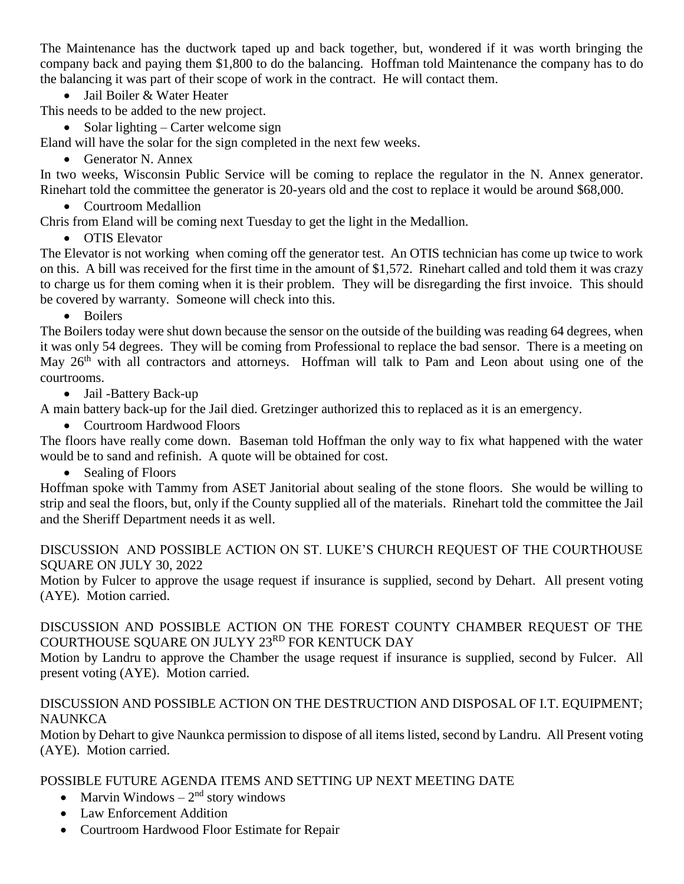The Maintenance has the ductwork taped up and back together, but, wondered if it was worth bringing the company back and paying them \$1,800 to do the balancing. Hoffman told Maintenance the company has to do the balancing it was part of their scope of work in the contract. He will contact them.

• Jail Boiler & Water Heater

This needs to be added to the new project.

- Solar lighting Carter welcome sign
- Eland will have the solar for the sign completed in the next few weeks.
	- Generator N. Annex

In two weeks, Wisconsin Public Service will be coming to replace the regulator in the N. Annex generator. Rinehart told the committee the generator is 20-years old and the cost to replace it would be around \$68,000.

• Courtroom Medallion

Chris from Eland will be coming next Tuesday to get the light in the Medallion.

• OTIS Elevator

The Elevator is not working when coming off the generator test. An OTIS technician has come up twice to work on this. A bill was received for the first time in the amount of \$1,572. Rinehart called and told them it was crazy to charge us for them coming when it is their problem. They will be disregarding the first invoice. This should be covered by warranty. Someone will check into this.

• Boilers

The Boilers today were shut down because the sensor on the outside of the building was reading 64 degrees, when it was only 54 degrees. They will be coming from Professional to replace the bad sensor. There is a meeting on May 26<sup>th</sup> with all contractors and attorneys. Hoffman will talk to Pam and Leon about using one of the courtrooms.

• Jail -Battery Back-up

A main battery back-up for the Jail died. Gretzinger authorized this to replaced as it is an emergency.

• Courtroom Hardwood Floors

The floors have really come down. Baseman told Hoffman the only way to fix what happened with the water would be to sand and refinish. A quote will be obtained for cost.

• Sealing of Floors

Hoffman spoke with Tammy from ASET Janitorial about sealing of the stone floors. She would be willing to strip and seal the floors, but, only if the County supplied all of the materials. Rinehart told the committee the Jail and the Sheriff Department needs it as well.

DISCUSSION AND POSSIBLE ACTION ON ST. LUKE'S CHURCH REQUEST OF THE COURTHOUSE SQUARE ON JULY 30, 2022

Motion by Fulcer to approve the usage request if insurance is supplied, second by Dehart. All present voting (AYE). Motion carried.

## DISCUSSION AND POSSIBLE ACTION ON THE FOREST COUNTY CHAMBER REQUEST OF THE COURTHOUSE SQUARE ON JULYY 23RD FOR KENTUCK DAY

Motion by Landru to approve the Chamber the usage request if insurance is supplied, second by Fulcer. All present voting (AYE). Motion carried.

## DISCUSSION AND POSSIBLE ACTION ON THE DESTRUCTION AND DISPOSAL OF I.T. EQUIPMENT; **NAUNKCA**

Motion by Dehart to give Naunkca permission to dispose of all items listed, second by Landru. All Present voting (AYE). Motion carried.

# POSSIBLE FUTURE AGENDA ITEMS AND SETTING UP NEXT MEETING DATE

- Marvin Windows  $-2<sup>nd</sup>$  story windows
- Law Enforcement Addition
- Courtroom Hardwood Floor Estimate for Repair